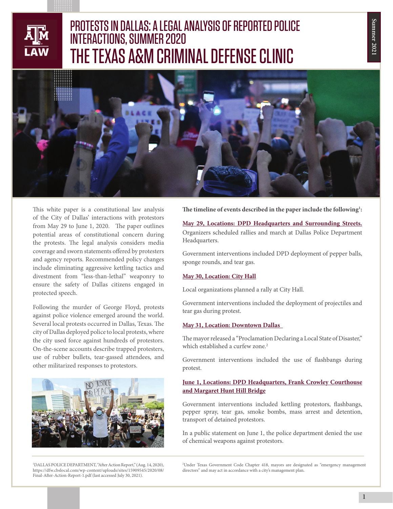## Summer 2021 **Summer 2021**



# **....................................................................** PROTESTS IN DALLAS: A LEGAL ANALYSIS OF REPORTED POLICE INTERACTIONS, SUMMER 2020 THE TEXAS A&M CRIMINAL DEFENSE CLINIC



This white paper is a constitutional law analysis of the City of Dallas' interactions with protestors from May 29 to June 1, 2020. The paper outlines potential areas of constitutional concern during the protests. The legal analysis considers media coverage and sworn statements offered by protesters and agency reports. Recommended policy changes include eliminating aggressive kettling tactics and divestment from "less-than-lethal" weaponry to ensure the safety of Dallas citizens engaged in protected speech.

Following the murder of George Floyd, protests against police violence emerged around the world. Several local protests occurred in Dallas, Texas. The city of Dallas deployed police to local protests, where the city used force against hundreds of protestors. On-the-scene accounts describe trapped protesters, use of rubber bullets, tear-gassed attendees, and other militarized responses to protestors.



1 DALLAS POLICE DEPARTMENT, "After Action Report," (Aug. 14, 2020), https://dfw.cbslocal.com/wp-content/uploads/sites/15909545/2020/08/ Final-After-Action-Report-1.pdf (last accessed July 30, 2021).

**The timeline of events described in the paper include the following1 :**

**May 29, Locations: DPD Headquarters and Surrounding Streets.**  Organizers scheduled rallies and march at Dallas Police Department Headquarters.

Government interventions included DPD deployment of pepper balls, sponge rounds, and tear gas.

#### **May 30, Location: City Hall**

Local organizations planned a rally at City Hall.

Government interventions included the deployment of projectiles and tear gas during protest.

#### **May 31, Location: Downtown Dallas**

The mayor released a "Proclamation Declaring a Local State of Disaster," which established a curfew zone.<sup>2</sup>

Government interventions included the use of flashbangs during protest.

### **June 1, Locations: DPD Headquarters, Frank Crowley Courthouse and Margaret Hunt Hill Bridge**

Government interventions included kettling protestors, flashbangs, pepper spray, tear gas, smoke bombs, mass arrest and detention, transport of detained protestors.

In a public statement on June 1, the police department denied the use of chemical weapons against protestors.

2 Under Texas Government Code Chapter 418, mayors are designated as "emergency management directors" and may act in accordance with a city's management plan.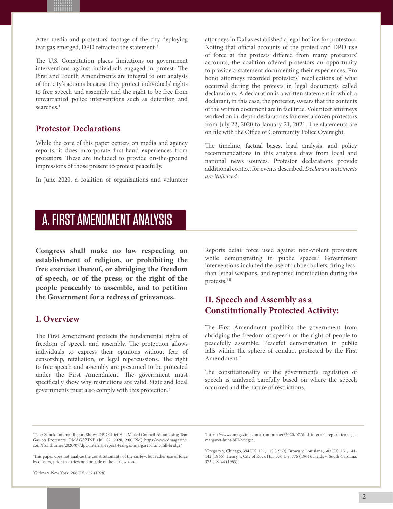After media and protestors' footage of the city deploying tear gas emerged, DPD retracted the statement.<sup>3</sup>

**.................................................................... .................................................................... .................................................................... .................................................................... .................................................................... .................................................................... .................................................................... .................................................................... .................................................................... ....................................................................** The U.S. Constitution places limitations on government interventions against individuals engaged in protest. The First and Fourth Amendments are integral to our analysis of the city's actions because they protect individuals' rights to free speech and assembly and the right to be free from unwarranted police interventions such as detention and searches.4

### **Protestor Declarations**

While the core of this paper centers on media and agency reports, it does incorporate first-hand experiences from protestors. These are included to provide on-the-ground impressions of those present to protest peacefully.

In June 2020, a coalition of organizations and volunteer

attorneys in Dallas established a legal hotline for protestors. Noting that official accounts of the protest and DPD use of force at the protests differed from many protestors' accounts, the coalition offered protestors an opportunity to provide a statement documenting their experiences. Pro bono attorneys recorded protesters' recollections of what occurred during the protests in legal documents called declarations. A declaration is a written statement in which a declarant, in this case, the protester, swears that the contents of the written document are in fact true. Volunteer attorneys worked on in-depth declarations for over a dozen protestors from July 22, 2020 to January 21, 2021. The statements are on file with the Office of Community Police Oversight.

The timeline, factual bases, legal analysis, and policy recommendations in this analysis draw from local and national news sources. Protestor declarations provide additional context for events described. *Declarant statements are italicized.*

### A. FIRST AMENDMENT ANALYSIS

**Congress shall make no law respecting an establishment of religion, or prohibiting the free exercise thereof, or abridging the freedom of speech, or of the press; or the right of the people peaceably to assemble, and to petition the Government for a redress of grievances.**

### **I. Overview**

The First Amendment protects the fundamental rights of freedom of speech and assembly. The protection allows individuals to express their opinions without fear of censorship, retaliation, or legal repercussions. The right to free speech and assembly are presumed to be protected under the First Amendment. The government must specifically show why restrictions are valid. State and local governments must also comply with this protection.5

Reports detail force used against non-violent protesters while demonstrating in public spaces.<sup>i</sup> Government interventions included the use of rubber bullets, firing lessthan-lethal weapons, and reported intimidation during the protests.6 ii

### **II. Speech and Assembly as a Constitutionally Protected Activity:**

The First Amendment prohibits the government from abridging the freedom of speech or the right of people to peacefully assemble. Peaceful demonstration in public falls within the sphere of conduct protected by the First Amendment.<sup>7</sup>

The constitutionality of the government's regulation of speech is analyzed carefully based on where the speech occurred and the nature of restrictions.

5 Gitlow v. New York, 268 U.S. 652 (1928).

6 https://www.dmagazine.com/frontburner/2020/07/dpd-internal-report-tear-gasmargaret-hunt-hill-bridge/ .

7 Gregory v. Chicago, 394 U.S. 111, 112 (1969); Brown v. Louisiana, 383 U.S. 131, 141- 142 (1966); Henry v. City of Rock Hill, 376 U.S. 776 (1964); Fields v. South Carolina, 375 U.S. 44 (1963).

<sup>3</sup> Peter Simek, Internal Report Shows DPD Chief Hall Misled Council About Using Tear Gas on Protesters, DMAGAZINE (Jul. 22, 2020, 2:00 PM) https://www.dmagazine. com/frontburner/2020/07/dpd-internal-report-tear-gas-margaret-hunt-hill-bridge/

<sup>4</sup> This paper does not analyze the constitutionality of the curfew, but rather use of force by officers, prior to curfew and outside of the curfew zone.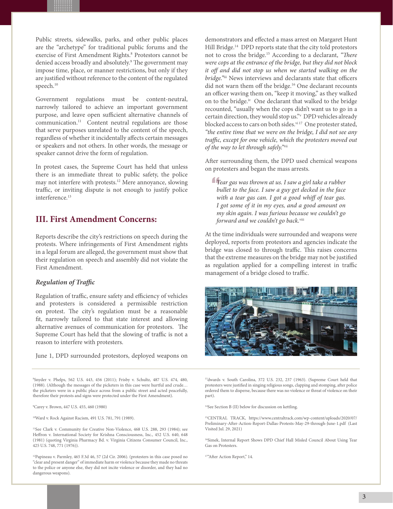**.................................................................... .................................................................... .................................................................... .................................................................... .................................................................... .................................................................... .................................................................... .................................................................... .................................................................... ....................................................................** Public streets, sidewalks, parks, and other public places are the "archetype" for traditional public forums and the exercise of First Amendment Rights.<sup>8</sup> Protestors cannot be denied access broadly and absolutely.<sup>9</sup> The government may impose time, place, or manner restrictions, but only if they are justified without reference to the content of the regulated speech.<sup>10</sup>

Government regulations must be content-neutral, narrowly tailored to achieve an important government purpose, and leave open sufficient alternative channels of communication.11 Content neutral regulations are those that serve purposes unrelated to the content of the speech, regardless of whether it incidentally affects certain messages or speakers and not others. In other words, the message or speaker cannot drive the form of regulation.

In protest cases, the Supreme Court has held that unless there is an immediate threat to public safety, the police may not interfere with protests.12 Mere annoyance, slowing traffic, or inviting dispute is not enough to justify police interference.<sup>13</sup>

### **III. First Amendment Concerns:**

Reports describe the city's restrictions on speech during the protests. Where infringements of First Amendment rights in a legal forum are alleged, the government must show that their regulation on speech and assembly did not violate the First Amendment.

#### *Regulation of Traffic*

Regulation of traffic, ensure safety and efficiency of vehicles and protesters is considered a permissible restriction on protest. The city's regulation must be a reasonable fit, narrowly tailored to that state interest and allowing alternative avenues of communication for protestors. The Supreme Court has held that the slowing of traffic is not a reason to interfere with protesters.

June 1, DPD surrounded protestors, deployed weapons on

8 Snyder v. Phelps, 562 U.S. 443, 456 (2011); Frisby v. Schultz, 487 U.S. 474, 480, (1988). (Although the messages of the picketers in this case were hurtful and crude… the picketers were in a public place across from a public street and acted peacefully, therefore their protests and signs were protected under the First Amendment).

9 Carey v. Brown, 447 U.S. 455, 460 (1980)

10Ward v. Rock Against Racism, 491 U.S. 781, 791 (1989).

<sup>11</sup>See Clark v. Community for Creative Non-Violence, 468 U.S. 288, 293 (1984); see Heffron v. International Society for Krishna Consciousness, Inc., 452 U.S. 640, 648 (1981) (quoting Virginia Pharmacy Bd. v. Virginia Citizens Consumer Council, Inc., 425 U.S. 748, 771 (1976)).

<sup>12</sup>Papineau v. Parmley, 465 F.3d 46, 57 (2d Cir. 2006). (protesters in this case posed no "clear and present danger" of immediate harm or violence because they made no threats to the police or anyone else, they did not incite violence or disorder, and they had no dangerous weapons).

demonstrators and effected a mass arrest on Margaret Hunt Hill Bridge.<sup>14</sup> DPD reports state that the city told protestors not to cross the bridge.15 According to a declarant, *"There were cops at the entrance of the bridge, but they did not block it off and did not stop us when we started walking on the bridge."*iii News interviews and declarants state that officers did not warn them off the bridge.<sup>16</sup> One declarant recounts an officer waving them on, "keep it moving," as they walked on to the bridge.<sup>iv</sup> One declarant that walked to the bridge recounted, "usually when the cops didn't want us to go in a certain direction, they would stop us."v DPD vehicles already blocked access to cars on both sides.<sup>vi17</sup> One protester stated, *"the entire time that we were on the bridge, I did not see any traffic, except for one vehicle, which the protesters moved out of the way to let through safely."*vii

After surrounding them, the DPD used chemical weapons on protesters and began the mass arrests.

*Tear gas was thrown at us. I saw a girl take a rubber bullet to the face. I saw a guy get decked in the face with a tear gas can. I got a good whiff of tear gas. I got some of it in my eyes, and a good amount on my skin again. I was furious because we couldn't go forward and we couldn't go back.*viii

At the time individuals were surrounded and weapons were deployed, reports from protestors and agencies indicate the bridge was closed to through traffic. This raises concerns that the extreme measures on the bridge may not be justified as regulation applied for a compelling interest in traffic management of a bridge closed to traffic.



13dwards v. South Carolina, 372 U.S. 232, 237 (1963). (Supreme Court held that protesters were justified in singing religious songs, clapping and stomping, after police ordered them to disperse, because there was no violence or threat of violence on their part).

14See Section B (II) below for discussion on kettling.

15CENTRAL TRACK, https://www.centraltrack.com/wp-content/uploads/2020/07/ Preliminary-After-Action-Report-Dallas-Protests-May-29-through-June-1.pdf (Last Visited Jul. 29, 2021)

16Simek, Internal Report Shows DPD Chief Hall Misled Council About Using Tear Gas on Protesters.

17"After Action Report," 14.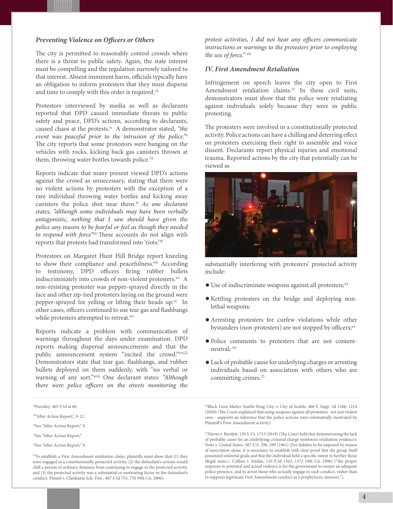#### *Preventing Violence on Officers or Others*

**.................................................................... .................................................................... .................................................................... .................................................................... .................................................................... .................................................................... .................................................................... .................................................................... .................................................................... ....................................................................** The city is permitted to reasonably control crowds where there is a threat to public safety. Again, the state interest must be compelling and the regulation narrowly tailored to that interest. Absent imminent harm, officials typically have an obligation to inform protesters that they must disperse and time to comply with this order is required.<sup>18</sup>

Protestors interviewed by media as well as declarants reported that DPD caused immediate threats to public safety and peace, DPD's actions, according to declarants, caused chaos at the protests.ix A demonstrator stated, *"the event was peaceful prior to the intrusion of the police."*<sup>x</sup> The city reports that some protestors were banging on the vehicles with rocks, kicking back gas canisters thrown at them, throwing water bottles towards police.<sup>19</sup>

Reports indicate that many present viewed DPD's actions against the crowd as unnecessary, stating that there were no violent actions by protesters with the exception of a rare individual throwing water bottles and kicking away canisters the police shot near them.<sup>xi</sup> *As one declarant states, "although some individuals may have been verbally antagonistic, nothing that I saw should have given the police any reason to be fearful or feel as though they needed to respond with force"*xii These accounts do not align with reports that protests had transformed into 'riots.'20

Protestors on Margaret Hunt Hill Bridge report kneeling to show their compliance and peacefulness.<sup>xiii</sup> According to testimony, DPD officers firing rubber bullets indiscriminately into crowds of non-violent protesters.xiv A non-resisting protester was pepper-sprayed directly in the face and other zip-tied protesters laying on the ground were pepper-sprayed for yelling or lifting their heads up.xv In other cases, officers continued to use tear gas and flashbangs while protesters attempted to retreat.xvi

Reports indicate a problem with communication of warnings throughout the days under examination. DPD reports making dispersal announcements and that the public announcement system "incited the crowd."xvii22 Demonstrators state that tear gas, flashbangs, and rubber bullets deployed on them suddenly, with "no verbal or warning of any sort."xviii One declarant states: *"Although there were police officers on the streets monitoring the* 

18Parmley, 465 F.3d at 60.

<sup>23</sup>To establish a First Amendment retaliation claim, plaintiffs must show that (1) they were engaged in a constitutionally protected activity, (2) the defendant's actions would chill a person of ordinary firmness from continuing to engage in the protected activity, and (3) the protected activity was a substantial or motivating factor in the defendant's conduct. Pinard v. Clatskanie Sch. Dist., 467 F.3d 755, 770 (9th Cir. 2006).

*protest activities, I did not hear any officers communicate instructions or warnings to the protesters prior to employing the use of force."* xix

#### *IV. First Amendment Retaliation*

Infringement on speech leaves the city open to First Amendment retaliation claims.<sup>23</sup> In these civil suits, demonstrators must show that the police were retaliating against individuals solely because they were in public protesting.

The protesters were involved in a constitutionally protected activity. Police actions can have a chilling and deterring effect on protesters exercising their right to assemble and voice dissent. Declarants report physical injuries and emotional trauma. Reported actions by the city that potentially can be viewed as



substantially interfering with protesters' protected activity include:

- $\bullet$  Use of indiscriminate weapons against all protesters;<sup>24</sup>
- Kettling protesters on the bridge and deploying nonlethal weapons;
- Arresting protesters for curfew violations while other bystanders (non-protesters) are not stopped by officers;<sup>xx</sup>
- Police comments to protesters that are not contentneutral; xxi
- Lack of probable cause for underlying charges or arresting individuals based on association with others who are committing crimes.25

24Black Lives Matter Seattle-King City. v. City of Seattle, 466 F. Supp. 3d 1206, 1214 (2020) (The Court explained that using weapons against all protesters- not just violent ones - supports an inference that the police actions were substantially motivated by Plaintiff 's First Amendment activity).

<sup>25</sup>Nieves v. Bartlett, 139 S. Ct. 1715 (2019) (The Court held that demonstrating the lack of probable cause for an underlying criminal charge reinforces retaliation evidence); Noto v. United States, 367 U.S. 290, 299 (1961) (For liability to be imposed by reason of association alone, it is necessary to establish with clear proof that the group itself possessed unlawful goals and that the individual held a specific intent to further those illegal aims.).; Collins v. Jordan, 110 F.3d 1363, 1372 (9th Cir. 1996) ("the proper response to potential and actual violence is for the government to ensure an adequate police presence, and to arrest those who actually engage in such conduct, rather than to suppress legitimate First Amendment conduct as a prophylactic measure.").

<sup>&</sup>lt;sup>19"</sup>After Action Report,", 9-12.

<sup>20</sup>See "After Action Report," 9.

<sup>21</sup>See "After Action Report,"

<sup>22</sup>See "After Action Report," 9.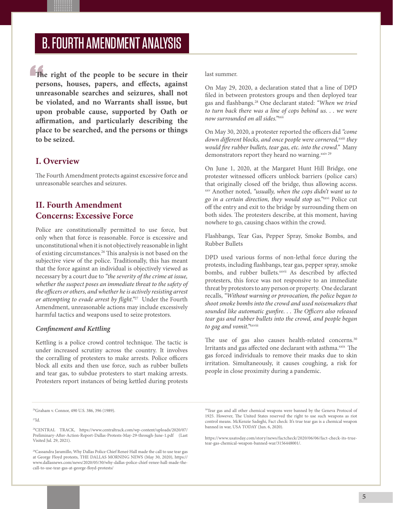### B. FOURTH AMENDMENT ANALYSIS

**.................................................................... .................................................................... .................................................................... .................................................................... .................................................................... .................................................................... .................................................................... .................................................................... .................................................................... .................................................................... The right of the people to be secure in their persons, houses, papers, and effects, against unreasonable searches and seizures, shall not be violated, and no Warrants shall issue, but upon probable cause, supported by Oath or affirmation, and particularly describing the place to be searched, and the persons or things to be seized.**

### **I. Overview**

The Fourth Amendment protects against excessive force and unreasonable searches and seizures.

### **II. Fourth Amendment Concerns: Excessive Force**

Police are constitutionally permitted to use force, but only when that force is reasonable. Force is excessive and unconstitutional when it is not objectively reasonable in light of existing circumstances.26 This analysis is not based on the subjective view of the police. Traditionally, this has meant that the force against an individual is objectively viewed as necessary by a court due to *"the severity of the crime at issue, whether the suspect poses an immediate threat to the safety of the officers or others, and whether he is actively resisting arrest or attempting to evade arrest by flight."*27 Under the Fourth Amendment, unreasonable actions may include excessively harmful tactics and weapons used to seize protestors.

### *Confinement and Kettling*

Kettling is a police crowd control technique. The tactic is under increased scrutiny across the country. It involves the corralling of protesters to make arrests. Police officers block all exits and then use force, such as rubber bullets and tear gas, to subdue protesters to start making arrests. Protesters report instances of being kettled during protests

last summer.

On May 29, 2020, a declaration stated that a line of DPD filed in between protestors groups and then deployed tear gas and flashbangs.28 One declarant stated: *"When we tried to turn back there was a line of cops behind us. . . we were now surrounded on all sides."*xxii

On May 30, 2020, a protester reported the officers did *"come*  down different blocks, and once people were cornered, xxiii they *would fire rubber bullets, tear gas, etc. into the crowd."* Many demonstrators report they heard no warning.<sup>xxiv 29</sup>

On June 1, 2020, at the Margaret Hunt Hill Bridge, one protester witnessed officers unblock barriers (police cars) that originally closed off the bridge, thus allowing access. xxv Another noted, *"usually, when the cops didn't want us to go in a certain direction, they would stop us."*xxvi Police cut off the entry and exit to the bridge by surrounding them on both sides. The protesters describe, at this moment, having nowhere to go, causing chaos within the crowd.

Flashbangs, Tear Gas, Pepper Spray, Smoke Bombs, and Rubber Bullets

DPD used various forms of non-lethal force during the protests, including flashbangs, tear gas, pepper spray, smoke bombs, and rubber bullets.<sup>xxvii</sup> As described by affected protesters, this force was not responsive to an immediate threat by protestors to any person or property. One declarant recalls, *"Without warning or provocation, the police began to shoot smoke bombs into the crowd and used noisemakers that sounded like automatic gunfire. . . The Officers also released tear gas and rubber bullets into the crowd, and people began to gag and vomit."*xxviii

The use of gas also causes health-related concerns.<sup>30</sup> Irritants and gas affected one declarant with asthma.<sup>xxix</sup> The gas forced individuals to remove their masks due to skin irritation. Simultaneously, it causes coughing, a risk for people in close proximity during a pandemic.

 $^{27}$ Id.

https://www.usatoday.com/story/news/factcheck/2020/06/06/fact-check-its-truetear-gas-chemical-weapon-banned-war/3156448001/.

<sup>26</sup>Graham v. Connor, 490 U.S. 386, 396 (1989).

<sup>28</sup>CENTRAL TRACK, https://www.centraltrack.com/wp-content/uploads/2020/07/ Preliminary-After-Action-Report-Dallas-Protests-May-29-through-June-1.pdf (Last Visited Jul. 29, 2021).

<sup>29</sup>Cassandra Jaramillo, Why Dallas Police Chief Reneé Hall made the call to use tear gas at George Floyd protests, THE DALLAS MORNING NEWS (May 30, 2020), https:// www.dallasnews.com/news/2020/05/30/why-dallas-police-chief-renee-hall-made-thecall-to-use-tear-gas-at-george-floyd-protests/

<sup>&</sup>lt;sup>30</sup>Tear gas and all other chemical weapons were banned by the Geneva Protocol of 1925. However, The United States reserved the right to use such weapons as riot control means. McKenzie Sadeghi, Fact check: It's true tear gas is a chemical weapon banned in war, USA TODAY (Jun. 6, 2020).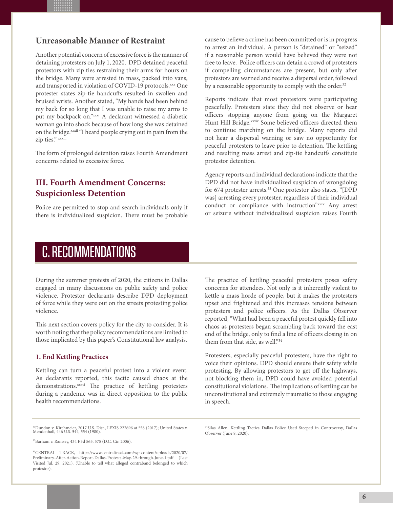### **Unreasonable Manner of Restraint**

**.................................................................... .................................................................... .................................................................... .................................................................... .................................................................... .................................................................... .................................................................... .................................................................... .................................................................... ....................................................................** Another potential concern of excessive force is the manner of detaining protesters on July 1, 2020. DPD detained peaceful protestors with zip ties restraining their arms for hours on the bridge. Many were arrested in mass, packed into vans, and transported in violation of COVID-19 protocols.xxx One protester states zip-tie handcuffs resulted in swollen and bruised wrists. Another stated, "My hands had been behind my back for so long that I was unable to raise my arms to put my backpack on."xxxi A declarant witnessed a diabetic woman go into shock because of how long she was detained on the bridge.<sup>xxxii</sup> "I heard people crying out in pain from the zip ties." xxxiii

The form of prolonged detention raises Fourth Amendment concerns related to excessive force.

### **III. Fourth Amendment Concerns: Suspicionless Detention**

Police are permitted to stop and search individuals only if there is individualized suspicion. There must be probable cause to believe a crime has been committed or is in progress to arrest an individual. A person is "detained" or "seized" if a reasonable person would have believed they were not free to leave. Police officers can detain a crowd of protesters if compelling circumstances are present, but only after protestors are warned and receive a dispersal order, followed by a reasonable opportunity to comply with the order.<sup>32</sup>

Reports indicate that most protestors were participating peacefully. Protesters state they did not observe or hear officers stopping anyone from going on the Margaret Hunt Hill Bridge.<sup>xxxiv</sup> Some believed officers directed them to continue marching on the bridge. Many reports did not hear a dispersal warning or saw no opportunity for peaceful protesters to leave prior to detention. The kettling and resulting mass arrest and zip-tie handcuffs constitute protestor detention.

Agency reports and individual declarations indicate that the DPD did not have individualized suspicion of wrongdoing for 674 protester arrests.<sup>33</sup> One protestor also states, "[DPD was] arresting every protester, regardless of their individual conduct or compliance with instruction"xxxv Any arrest or seizure without individualized suspicion raises Fourth

### C. RECOMMENDATIONS

During the summer protests of 2020, the citizens in Dallas engaged in many discussions on public safety and police violence. Protestor declarants describe DPD deployment of force while they were out on the streets protesting police violence.

This next section covers policy for the city to consider. It is worth noting that the policy recommendations are limited to those implicated by this paper's Constitutional law analysis.

### **1. End Kettling Practices**

Kettling can turn a peaceful protest into a violent event. As declarants reported, this tactic caused chaos at the demonstrations.<sup>xxxvi</sup> The practice of kettling protesters during a pandemic was in direct opposition to the public health recommendations.

The practice of kettling peaceful protesters poses safety concerns for attendees. Not only is it inherently violent to kettle a mass horde of people, but it makes the protesters upset and frightened and this increases tensions between protesters and police officers. As the Dallas Observer reported, "What had been a peaceful protest quickly fell into chaos as protesters began scrambling back toward the east end of the bridge, only to find a line of officers closing in on them from that side, as well."34

Protesters, especially peaceful protesters, have the right to voice their opinions. DPD should ensure their safety while protesting. By allowing protestors to get off the highways, not blocking them in, DPD could have avoided potential constitutional violations. The implications of kettling can be unconstitutional and extremely traumatic to those engaging in speech.

31Dundon v. Kirchmeier, 2017 U.S. Dist., LEXIS 222696 at \*58 (2017); United States v. Mendenhall, 446 U.S. 544, 554 (1980).

32Barham v. Ramsey, 434 F.3d 565, 575 (D.C. Cir. 2006).

34Silas Allen, Kettling Tactics Dallas Police Used Steeped in Controversy, Dallas Observer (June 8, 2020).

<sup>33</sup>CENTRAL TRACK, https://www.centraltrack.com/wp-content/uploads/2020/07/ Preliminary-After-Action-Report-Dallas-Protests-May-29-through-June-1.pdf (Last Visited Jul. 29, 2021). (Unable to tell what alleged contraband belonged to which protestor).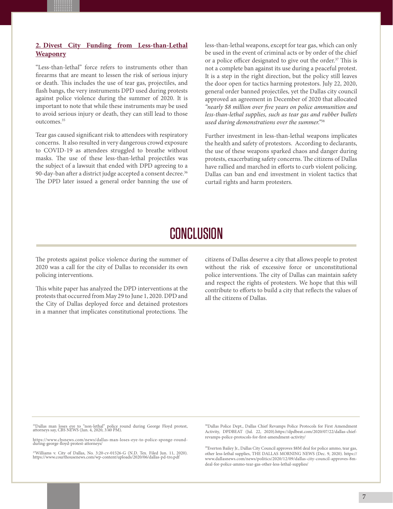### **2. Divest City Funding from Less-than-Lethal Weaponry**

**.................................................................... .................................................................... .................................................................... .................................................................... .................................................................... .................................................................... .................................................................... .................................................................... .................................................................... ....................................................................** "Less-than-lethal" force refers to instruments other than firearms that are meant to lessen the risk of serious injury or death. This includes the use of tear gas, projectiles, and flash bangs, the very instruments DPD used during protests against police violence during the summer of 2020. It is important to note that while these instruments may be used to avoid serious injury or death, they can still lead to those outcomes.35

Tear gas caused significant risk to attendees with respiratory concerns. It also resulted in very dangerous crowd exposure to COVID-19 as attendees struggled to breathe without masks. The use of these less-than-lethal projectiles was the subject of a lawsuit that ended with DPD agreeing to a 90-day-ban after a district judge accepted a consent decree.<sup>36</sup> The DPD later issued a general order banning the use of less-than-lethal weapons, except for tear gas, which can only be used in the event of criminal acts or by order of the chief or a police officer designated to give out the order.<sup>37</sup> This is not a complete ban against its use during a peaceful protest. It is a step in the right direction, but the policy still leaves the door open for tactics harming protestors. July 22, 2020, general order banned projectiles, yet the Dallas city council approved an agreement in December of 2020 that allocated *"nearly \$8 million over five years on police ammunition and less-than-lethal supplies, such as tear gas and rubber bullets used during demonstrations over the summer."*<sup>38</sup>

Further investment in less-than-lethal weapons implicates the health and safety of protestors. According to declarants, the use of these weapons sparked chaos and danger during protests, exacerbating safety concerns. The citizens of Dallas have rallied and marched in efforts to curb violent policing. Dallas can ban and end investment in violent tactics that curtail rights and harm protesters.

### CONCLUSION

The protests against police violence during the summer of 2020 was a call for the city of Dallas to reconsider its own policing interventions.

This white paper has analyzed the DPD interventions at the protests that occurred from May 29 to June 1, 2020. DPD and the City of Dallas deployed force and detained protestors in a manner that implicates constitutional protections. The

citizens of Dallas deserve a city that allows people to protest without the risk of excessive force or unconstitutional police interventions. The city of Dallas can maintain safety and respect the rights of protesters. We hope that this will contribute to efforts to build a city that reflects the values of all the citizens of Dallas.

35Dallas man loses eye to "non-lethal" police round during George Floyd protest, attorneys say, CBS NEWS (Jun. 4, 2020, 3:40 PM).

https://www.cbsnews.com/news/dallas-man-loses-eye-to-police-sponge-roundduring-george-floyd-protest-attorneys/

<sup>37</sup>Williams v. City of Dallas, No. 3:20-cv-01526-G (N.D. Tex. Filed Jun. 11, 2020).<br>https://www.courthousenews.com/wp-content/uploads/2020/06/dallas-pd-tro.pdf

<sup>38</sup>Dallas Police Dept., Dallas Chief Revamps Police Protocols for First Amendment Activity, DPDBEAT (Jul. 22, 2020).https://dpdbeat.com/2020/07/22/dallas-chiefrevamps-police-protocols-for-first-amendment-activity/

<sup>39</sup>Everton Bailey Jr., Dallas City Council approves \$8M deal for police ammo, tear gas, other less-lethal supplies, THE DALLAS MORNING NEWS (Dec. 9, 2020). https:// www.dallasnews.com/news/politics/2020/12/09/dallas-city-council-approves-8mdeal-for-police-ammo-tear-gas-other-less-lethal-supplies/